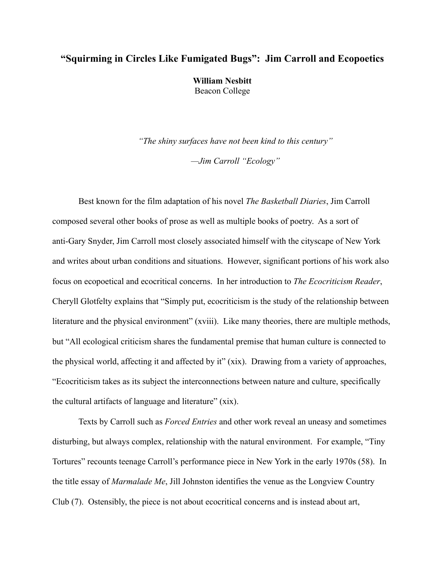## **"Squirming in Circles Like Fumigated Bugs": Jim Carroll and Ecopoetics**

**William Nesbitt** Beacon College

*"The shiny surfaces have not been kind to this century"*

*—Jim Carroll "Ecology"*

Best known for the film adaptation of his novel *The Basketball Diaries*, Jim Carroll composed several other books of prose as well as multiple books of poetry. As a sort of anti-Gary Snyder, Jim Carroll most closely associated himself with the cityscape of New York and writes about urban conditions and situations. However, significant portions of his work also focus on ecopoetical and ecocritical concerns. In her introduction to *The Ecocriticism Reader*, Cheryll Glotfelty explains that "Simply put, ecocriticism is the study of the relationship between literature and the physical environment" (xviii). Like many theories, there are multiple methods, but "All ecological criticism shares the fundamental premise that human culture is connected to the physical world, affecting it and affected by it" (xix). Drawing from a variety of approaches, "Ecocriticism takes as its subject the interconnections between nature and culture, specifically the cultural artifacts of language and literature" (xix).

Texts by Carroll such as *Forced Entries* and other work reveal an uneasy and sometimes disturbing, but always complex, relationship with the natural environment. For example, "Tiny Tortures" recounts teenage Carroll's performance piece in New York in the early 1970s (58). In the title essay of *Marmalade Me*, Jill Johnston identifies the venue as the Longview Country Club (7). Ostensibly, the piece is not about ecocritical concerns and is instead about art,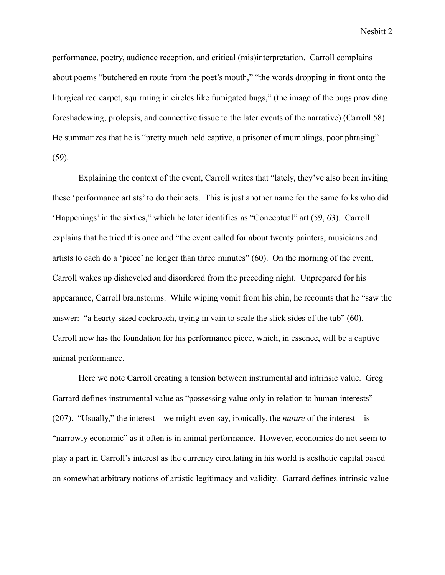performance, poetry, audience reception, and critical (mis)interpretation. Carroll complains about poems "butchered en route from the poet's mouth," "the words dropping in front onto the liturgical red carpet, squirming in circles like fumigated bugs," (the image of the bugs providing foreshadowing, prolepsis, and connective tissue to the later events of the narrative) (Carroll 58). He summarizes that he is "pretty much held captive, a prisoner of mumblings, poor phrasing" (59).

Explaining the context of the event, Carroll writes that "lately, they've also been inviting these 'performance artists' to do their acts. This is just another name for the same folks who did 'Happenings' in the sixties," which he later identifies as "Conceptual" art (59, 63). Carroll explains that he tried this once and "the event called for about twenty painters, musicians and artists to each do a 'piece' no longer than three minutes" (60). On the morning of the event, Carroll wakes up disheveled and disordered from the preceding night. Unprepared for his appearance, Carroll brainstorms. While wiping vomit from his chin, he recounts that he "saw the answer: "a hearty-sized cockroach, trying in vain to scale the slick sides of the tub" (60). Carroll now has the foundation for his performance piece, which, in essence, will be a captive animal performance.

Here we note Carroll creating a tension between instrumental and intrinsic value. Greg Garrard defines instrumental value as "possessing value only in relation to human interests" (207). "Usually," the interest—we might even say, ironically, the *nature* of the interest—is "narrowly economic" as it often is in animal performance. However, economics do not seem to play a part in Carroll's interest as the currency circulating in his world is aesthetic capital based on somewhat arbitrary notions of artistic legitimacy and validity. Garrard defines intrinsic value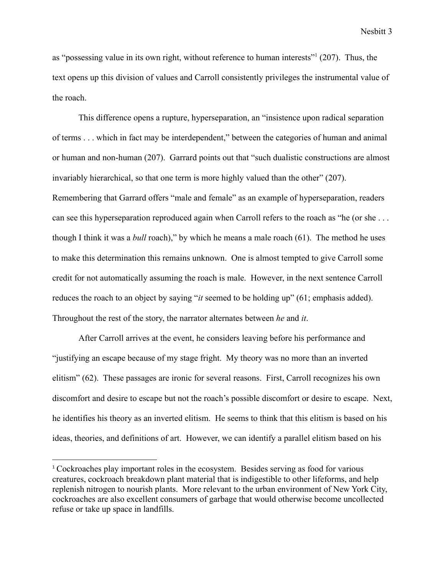as "possessing value in its own right, without reference to human interests"<sup>1</sup> (207). Thus, the text opens up this division of values and Carroll consistently privileges the instrumental value of the roach.

This difference opens a rupture, hyperseparation, an "insistence upon radical separation of terms . . . which in fact may be interdependent," between the categories of human and animal or human and non-human (207). Garrard points out that "such dualistic constructions are almost invariably hierarchical, so that one term is more highly valued than the other" (207). Remembering that Garrard offers "male and female" as an example of hyperseparation, readers can see this hyperseparation reproduced again when Carroll refers to the roach as "he (or she . . . though I think it was a *bull* roach)," by which he means a male roach (61). The method he uses to make this determination this remains unknown. One is almost tempted to give Carroll some credit for not automatically assuming the roach is male. However, in the next sentence Carroll reduces the roach to an object by saying "*it* seemed to be holding up" (61; emphasis added). Throughout the rest of the story, the narrator alternates between *he* and *it*.

After Carroll arrives at the event, he considers leaving before his performance and "justifying an escape because of my stage fright. My theory was no more than an inverted elitism" (62). These passages are ironic for several reasons. First, Carroll recognizes his own discomfort and desire to escape but not the roach's possible discomfort or desire to escape. Next, he identifies his theory as an inverted elitism. He seems to think that this elitism is based on his ideas, theories, and definitions of art. However, we can identify a parallel elitism based on his

<sup>&</sup>lt;sup>1</sup> Cockroaches play important roles in the ecosystem. Besides serving as food for various creatures, cockroach breakdown plant material that is indigestible to other lifeforms, and help replenish nitrogen to nourish plants. More relevant to the urban environment of New York City, cockroaches are also excellent consumers of garbage that would otherwise become uncollected refuse or take up space in landfills.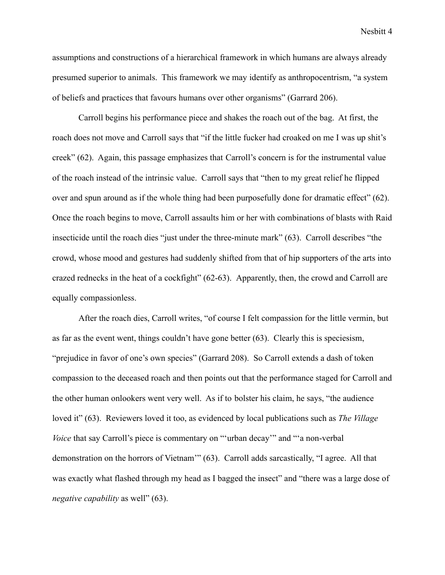assumptions and constructions of a hierarchical framework in which humans are always already presumed superior to animals. This framework we may identify as anthropocentrism, "a system of beliefs and practices that favours humans over other organisms" (Garrard 206).

Carroll begins his performance piece and shakes the roach out of the bag. At first, the roach does not move and Carroll says that "if the little fucker had croaked on me I was up shit's creek" (62). Again, this passage emphasizes that Carroll's concern is for the instrumental value of the roach instead of the intrinsic value. Carroll says that "then to my great relief he flipped over and spun around as if the whole thing had been purposefully done for dramatic effect" (62). Once the roach begins to move, Carroll assaults him or her with combinations of blasts with Raid insecticide until the roach dies "just under the three-minute mark" (63). Carroll describes "the crowd, whose mood and gestures had suddenly shifted from that of hip supporters of the arts into crazed rednecks in the heat of a cockfight" (62-63). Apparently, then, the crowd and Carroll are equally compassionless.

After the roach dies, Carroll writes, "of course I felt compassion for the little vermin, but as far as the event went, things couldn't have gone better (63). Clearly this is speciesism, "prejudice in favor of one's own species" (Garrard 208). So Carroll extends a dash of token compassion to the deceased roach and then points out that the performance staged for Carroll and the other human onlookers went very well. As if to bolster his claim, he says, "the audience loved it" (63). Reviewers loved it too, as evidenced by local publications such as *The Village Voice* that say Carroll's piece is commentary on "'urban decay'" and "'a non-verbal demonstration on the horrors of Vietnam'" (63). Carroll adds sarcastically, "I agree. All that was exactly what flashed through my head as I bagged the insect" and "there was a large dose of *negative capability* as well" (63).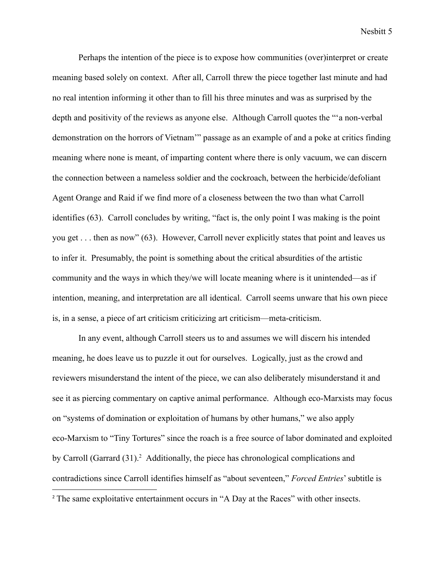Perhaps the intention of the piece is to expose how communities (over)interpret or create meaning based solely on context. After all, Carroll threw the piece together last minute and had no real intention informing it other than to fill his three minutes and was as surprised by the depth and positivity of the reviews as anyone else. Although Carroll quotes the "'a non-verbal demonstration on the horrors of Vietnam'" passage as an example of and a poke at critics finding meaning where none is meant, of imparting content where there is only vacuum, we can discern the connection between a nameless soldier and the cockroach, between the herbicide/defoliant Agent Orange and Raid if we find more of a closeness between the two than what Carroll identifies (63). Carroll concludes by writing, "fact is, the only point I was making is the point you get . . . then as now" (63). However, Carroll never explicitly states that point and leaves us to infer it. Presumably, the point is something about the critical absurdities of the artistic community and the ways in which they/we will locate meaning where is it unintended—as if intention, meaning, and interpretation are all identical. Carroll seems unware that his own piece is, in a sense, a piece of art criticism criticizing art criticism—meta-criticism.

In any event, although Carroll steers us to and assumes we will discern his intended meaning, he does leave us to puzzle it out for ourselves. Logically, just as the crowd and reviewers misunderstand the intent of the piece, we can also deliberately misunderstand it and see it as piercing commentary on captive animal performance. Although eco-Marxists may focus on "systems of domination or exploitation of humans by other humans," we also apply eco-Marxism to "Tiny Tortures" since the roach is a free source of labor dominated and exploited by Carroll (Garrard  $(31)$ .<sup>2</sup> Additionally, the piece has chronological complications and contradictions since Carroll identifies himself as "about seventeen," *Forced Entries*' subtitle is <sup>2</sup> The same exploitative entertainment occurs in "A Day at the Races" with other insects.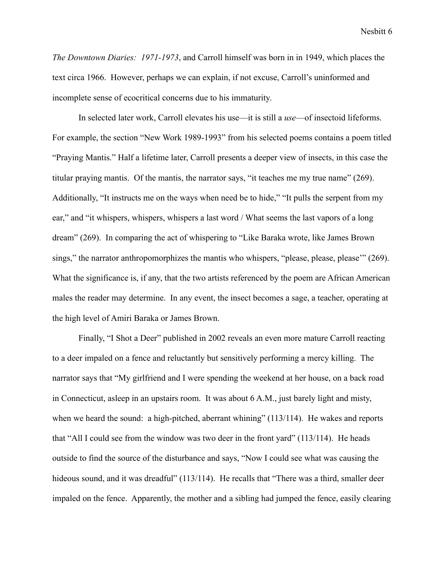*The Downtown Diaries: 1971-1973*, and Carroll himself was born in in 1949, which places the text circa 1966. However, perhaps we can explain, if not excuse, Carroll's uninformed and incomplete sense of ecocritical concerns due to his immaturity.

In selected later work, Carroll elevates his use—it is still a *use*—of insectoid lifeforms. For example, the section "New Work 1989-1993" from his selected poems contains a poem titled "Praying Mantis." Half a lifetime later, Carroll presents a deeper view of insects, in this case the titular praying mantis. Of the mantis, the narrator says, "it teaches me my true name" (269). Additionally, "It instructs me on the ways when need be to hide," "It pulls the serpent from my ear," and "it whispers, whispers, whispers a last word / What seems the last vapors of a long dream" (269). In comparing the act of whispering to "Like Baraka wrote, like James Brown sings," the narrator anthropomorphizes the mantis who whispers, "please, please, please'" (269). What the significance is, if any, that the two artists referenced by the poem are African American males the reader may determine. In any event, the insect becomes a sage, a teacher, operating at the high level of Amiri Baraka or James Brown.

Finally, "I Shot a Deer" published in 2002 reveals an even more mature Carroll reacting to a deer impaled on a fence and reluctantly but sensitively performing a mercy killing. The narrator says that "My girlfriend and I were spending the weekend at her house, on a back road in Connecticut, asleep in an upstairs room. It was about 6 A.M., just barely light and misty, when we heard the sound: a high-pitched, aberrant whining" (113/114). He wakes and reports that "All I could see from the window was two deer in the front yard" (113/114). He heads outside to find the source of the disturbance and says, "Now I could see what was causing the hideous sound, and it was dreadful" (113/114). He recalls that "There was a third, smaller deer impaled on the fence. Apparently, the mother and a sibling had jumped the fence, easily clearing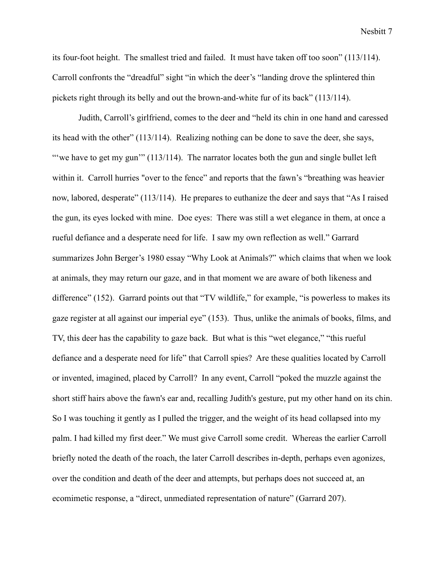its four-foot height. The smallest tried and failed. It must have taken off too soon" (113/114). Carroll confronts the "dreadful" sight "in which the deer's "landing drove the splintered thin pickets right through its belly and out the brown-and-white fur of its back" (113/114).

Judith, Carroll's girlfriend, comes to the deer and "held its chin in one hand and caressed its head with the other" (113/114). Realizing nothing can be done to save the deer, she says, "we have to get my gun'" (113/114). The narrator locates both the gun and single bullet left within it. Carroll hurries "over to the fence" and reports that the fawn's "breathing was heavier now, labored, desperate" (113/114). He prepares to euthanize the deer and says that "As I raised the gun, its eyes locked with mine. Doe eyes: There was still a wet elegance in them, at once a rueful defiance and a desperate need for life. I saw my own reflection as well." Garrard summarizes John Berger's 1980 essay "Why Look at Animals?" which claims that when we look at animals, they may return our gaze, and in that moment we are aware of both likeness and difference" (152). Garrard points out that "TV wildlife," for example, "is powerless to makes its gaze register at all against our imperial eye" (153). Thus, unlike the animals of books, films, and TV, this deer has the capability to gaze back. But what is this "wet elegance," "this rueful defiance and a desperate need for life" that Carroll spies? Are these qualities located by Carroll or invented, imagined, placed by Carroll? In any event, Carroll "poked the muzzle against the short stiff hairs above the fawn's ear and, recalling Judith's gesture, put my other hand on its chin. So I was touching it gently as I pulled the trigger, and the weight of its head collapsed into my palm. I had killed my first deer." We must give Carroll some credit. Whereas the earlier Carroll briefly noted the death of the roach, the later Carroll describes in-depth, perhaps even agonizes, over the condition and death of the deer and attempts, but perhaps does not succeed at, an ecomimetic response, a "direct, unmediated representation of nature" (Garrard 207).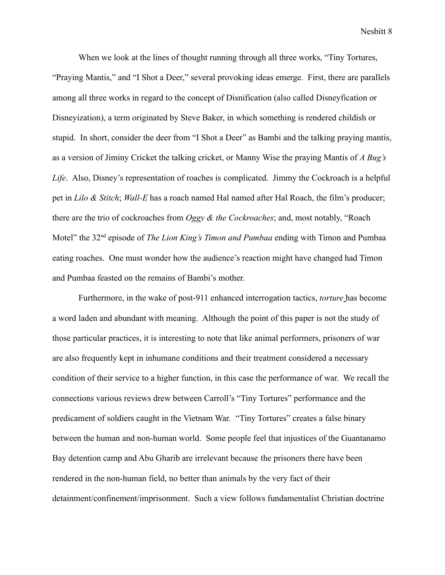When we look at the lines of thought running through all three works, "Tiny Tortures, "Praying Mantis," and "I Shot a Deer," several provoking ideas emerge. First, there are parallels among all three works in regard to the concept of Disnification (also called Disneyfication or Disneyization), a term originated by Steve Baker, in which something is rendered childish or stupid. In short, consider the deer from "I Shot a Deer" as Bambi and the talking praying mantis, as a version of Jiminy Cricket the talking cricket, or Manny Wise the praying Mantis of *A Bug's Life*. Also, Disney's representation of roaches is complicated. Jimmy the Cockroach is a helpful pet in *Lilo & Stitch*; *Wall-E* has a roach named Hal named after Hal Roach, the film's producer; there are the trio of cockroaches from *Oggy & the Cockroaches*; and, most notably, "Roach Motel" the 32nd episode of *The Lion King's Timon and Pumbaa* ending with Timon and Pumbaa eating roaches. One must wonder how the audience's reaction might have changed had Timon and Pumbaa feasted on the remains of Bambi's mother.

Furthermore, in the wake of post-911 enhanced interrogation tactics, *torture* has become a word laden and abundant with meaning. Although the point of this paper is not the study of those particular practices, it is interesting to note that like animal performers, prisoners of war are also frequently kept in inhumane conditions and their treatment considered a necessary condition of their service to a higher function, in this case the performance of war. We recall the connections various reviews drew between Carroll's "Tiny Tortures" performance and the predicament of soldiers caught in the Vietnam War. "Tiny Tortures" creates a false binary between the human and non-human world. Some people feel that injustices of the Guantanamo Bay detention camp and Abu Gharib are irrelevant because the prisoners there have been rendered in the non-human field, no better than animals by the very fact of their detainment/confinement/imprisonment. Such a view follows fundamentalist Christian doctrine